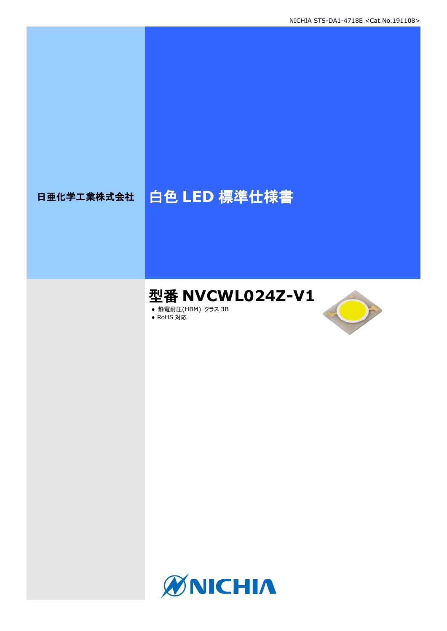# 日亜化学工業株式会社 | 白色 LED 標準仕様書

# 型番 **NVCWL024Z-V1**

- **静電耐圧(HBM) クラス 3B**
- RoHS 対応



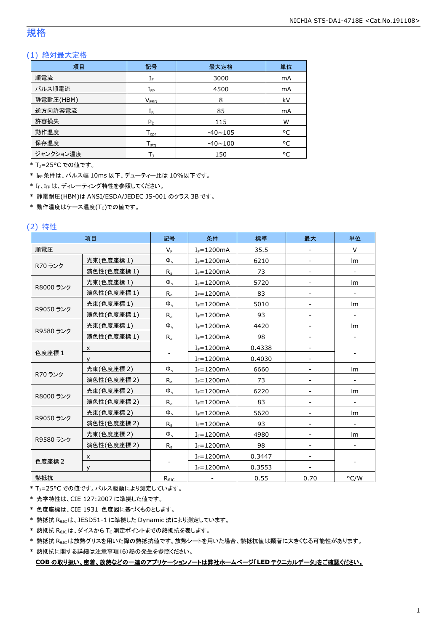#### 規格

#### (1) 絶対最大定格

| 項目        | 記号                  | 最大定格           | 単位 |
|-----------|---------------------|----------------|----|
| 順電流       | ${\rm I}_{{\rm F}}$ | 3000           | mA |
| パルス順電流    | $I_{\mathsf{FP}}$   | 4500           | mA |
| 静電耐圧(HBM) | V <sub>ESD</sub>    | 8              | kV |
| 逆方向許容電流   | $\rm I_R$           | 85             | mA |
| 許容損失      | $P_D$               | 115            | W  |
| 動作温度      | $T_{\mathsf{opr}}$  | $-40 \sim 105$ | °C |
| 保存温度      | $T_{\text{stq}}$    | $-40 \sim 100$ | °C |
| ジャンクション温度 |                     | 150            | ۰c |

\* TJ=25°C での値です。

\* IFP条件は、パルス幅 10ms 以下、デューティー比は 10%以下です。

\* IF、IFpは、ディレーティング特性を参照してください。

\* 静電耐圧(HBM)は ANSI/ESDA/JEDEC JS-001 のクラス 3B です。

 $*$ 動作温度はケース温度(Tc)での値です。

#### (2) 特性

|           | 項目          | 記号             | 条件             | 標準     | 最大   | 単位                       |
|-----------|-------------|----------------|----------------|--------|------|--------------------------|
| 順電圧       |             | $V_F$          | $I_F = 1200mA$ | 35.5   |      | V                        |
|           | 光束(色度座標 1)  | $\Phi_{\rm v}$ | $I_F = 1200mA$ | 6210   |      | lm                       |
| R70 ランク   | 演色性(色度座標1)  | $R_{a}$        | $I_F = 1200mA$ | 73     |      |                          |
|           | 光束(色度座標1)   | $\Phi_{\rm v}$ | $I_F = 1200mA$ | 5720   |      | lm                       |
| R8000 ランク | 演色性(色度座標 1) | $R_{a}$        | $I_F = 1200mA$ | 83     |      | $\overline{\phantom{a}}$ |
|           | 光束(色度座標1)   | $\Phi_{\rm v}$ | $I_F = 1200mA$ | 5010   |      | Im                       |
| R9050 ランク | 演色性(色度座標 1) | $R_{a}$        | $I_F = 1200mA$ | 93     |      |                          |
|           | 光束(色度座標1)   | $\Phi_{\rm v}$ | $I_F = 1200mA$ | 4420   |      | Im                       |
| R9580 ランク | 演色性(色度座標 1) | $R_a$          | $I_F = 1200mA$ | 98     |      |                          |
|           | X           |                | $I_F = 1200mA$ | 0.4338 |      |                          |
| 色度座標 1    | v           |                | $I_F = 1200mA$ | 0.4030 |      |                          |
|           | 光束(色度座標 2)  | $\Phi_{\rm v}$ | $I_F = 1200mA$ | 6660   |      | lm                       |
| R70 ランク   | 演色性(色度座標 2) | $R_{a}$        | $I_F = 1200mA$ | 73     |      |                          |
|           | 光束(色度座標 2)  | $\Phi_{\rm v}$ | $I_F = 1200mA$ | 6220   |      | Im                       |
| R8000 ランク | 演色性(色度座標 2) | $R_{a}$        | $I_F = 1200mA$ | 83     |      |                          |
|           | 光束(色度座標 2)  | $\Phi_{\rm v}$ | $I_F = 1200mA$ | 5620   |      | Im                       |
| R9050 ランク | 演色性(色度座標 2) | $R_{a}$        | $I_F = 1200mA$ | 93     |      |                          |
|           | 光束(色度座標2)   | $\Phi_{v}$     | $I_F = 1200mA$ | 4980   |      | Im                       |
| R9580 ランク | 演色性(色度座標 2) | $R_{a}$        | $I_F = 1200mA$ | 98     |      |                          |
|           | X           |                | $I_F = 1200mA$ | 0.3447 |      |                          |
| 色度座標 2    | $\vee$      |                | $I_F = 1200mA$ | 0.3553 |      |                          |
| 熱抵抗       |             | $R_{\theta$ JC |                | 0.55   | 0.70 | °C/W                     |

\* T<sub>J</sub>=25°C での値です。パルス駆動により測定しています。

\* 光学特性は、CIE 127:2007 に準拠した値です。

\* 色度座標は、CIE 1931 色度図に基づくものとします。

\* 熱抵抗 RθJCは、JESD51-1 に準拠した Dynamic 法により測定しています。

 $*$  熱抵抗  $R_{\theta$ JC は、ダイスから Tc 測定ポイントまでの熱抵抗を表します。

\* 熱抵抗 R<sub>0JC</sub>は放熱グリスを用いた際の熱抵抗値です。放熱シートを用いた場合、熱抵抗値は顕著に大きくなる可能性があります。

\* 熱抵抗に関する詳細は注意事項(6)熱の発生を参照ください。

**COB** の取り扱い、密着、放熱などの一連のアプリケーションノートは弊社ホームページ「**LED** テクニカルデータ」をご確認ください。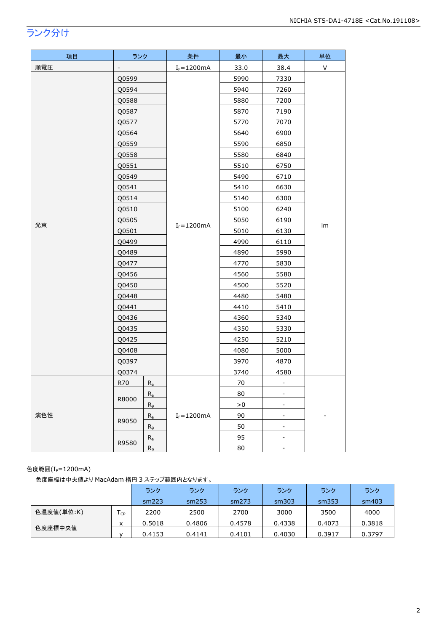## ランク分け

| 項目  | ランク                              |                | 条件                                 | 最小   | 最大                       | 単位 |
|-----|----------------------------------|----------------|------------------------------------|------|--------------------------|----|
| 順電圧 | $\overline{\phantom{0}}$         |                | $I_F = 1200mA$                     | 33.0 | 38.4                     | V  |
|     | Q0599                            |                |                                    | 5990 | 7330                     |    |
|     | Q0594                            |                |                                    | 5940 | 7260                     |    |
|     | Q0588                            |                |                                    | 5880 | 7200                     |    |
|     | Q0587                            |                |                                    | 5870 | 7190                     |    |
|     | Q0577                            |                |                                    | 5770 | 7070                     |    |
|     | Q0564                            |                |                                    | 5640 | 6900                     |    |
|     | Q0559                            |                |                                    | 5590 | 6850                     |    |
|     | Q0558                            |                |                                    | 5580 | 6840                     |    |
|     | Q0551                            |                |                                    | 5510 | 6750                     |    |
|     | Q0549                            |                |                                    | 5490 | 6710                     |    |
|     | Q0541                            |                |                                    | 5410 | 6630                     |    |
|     | Q0514                            |                |                                    | 5140 | 6300                     |    |
|     | Q0510                            |                |                                    | 5100 | 6240                     |    |
| 光束  | Q0505                            |                | $I_F = 1200mA$                     | 5050 | 6190                     | lm |
|     | Q0501                            |                |                                    | 5010 | 6130                     |    |
|     | Q0499                            |                |                                    | 4990 | 6110                     |    |
|     | Q0489                            |                |                                    | 4890 | 5990                     |    |
|     | Q0477                            |                |                                    | 4770 | 5830                     |    |
|     | Q0456                            |                |                                    | 4560 | 5580                     |    |
|     | Q0450<br>Q0448                   |                |                                    | 4500 | 5520                     |    |
|     |                                  |                |                                    | 4480 | 5480                     |    |
|     | Q0441                            |                |                                    | 4410 | 5410                     |    |
|     | Q0436                            |                |                                    | 4360 | 5340                     |    |
|     | Q0435                            |                |                                    | 4350 | 5330                     |    |
|     | Q0425                            |                |                                    | 4250 | 5210                     |    |
|     | Q0408                            |                |                                    | 4080 | 5000                     |    |
|     | Q0397                            |                |                                    | 3970 | 4870                     |    |
|     | Q0374                            |                |                                    | 3740 | 4580                     |    |
|     | R70<br>$R_{a}$<br>$R_a$<br>R8000 |                |                                    | 70   | $\blacksquare$           |    |
|     |                                  |                |                                    | 80   | -                        |    |
|     |                                  | R <sub>9</sub> | >0<br>$\qquad \qquad \blacksquare$ |      |                          |    |
| 演色性 | R9050                            | $R_a$          | $I_F = 1200mA$                     | 90   | $\overline{\phantom{a}}$ |    |
|     |                                  | $R_9$          |                                    | 50   | $\overline{\phantom{0}}$ |    |
|     | R9580                            | $R_{a}$        |                                    | 95   | ۰.                       |    |
|     |                                  | $R_9$          |                                    | 80   | $\overline{\phantom{0}}$ |    |

#### 色度範囲 $(I_f=1200$ mA)

色度座標は中央値より MacAdam 楕円 3 ステップ範囲内となります。

|            |                 | ランク    | ランク    | ランク    | ランク    | ランク    | ランク    |
|------------|-----------------|--------|--------|--------|--------|--------|--------|
|            |                 | sm223  | sm253  | sm273  | sm303  | sm353  | sm403  |
| 色温度値(単位:K) | $T_{\text{CP}}$ | 2200   | 2500   | 2700   | 3000   | 3500   | 4000   |
|            | x               | 0.5018 | 0.4806 | 0.4578 | 0.4338 | 0.4073 | 0.3818 |
| 色度座標中央値    |                 | 0.4153 | 0.4141 | 0.4101 | 0.4030 | 0.3917 | 0.3797 |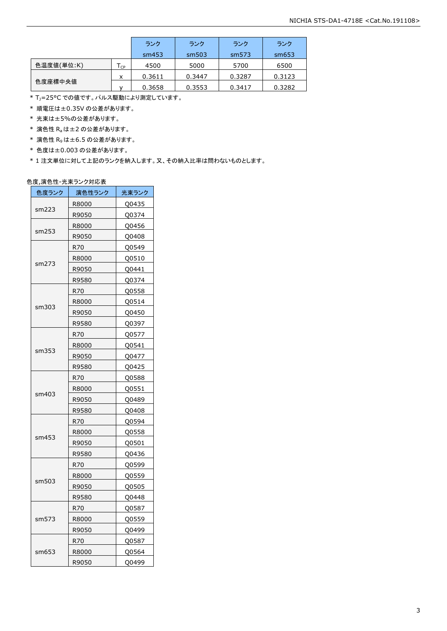|            |                            | ランク    | ランク    | ランク    | ランク    |
|------------|----------------------------|--------|--------|--------|--------|
|            |                            | sm453  | sm503  | sm573  | sm653  |
| 色温度値(単位:K) | $\mathsf{T}_{\mathsf{CP}}$ | 4500   | 5000   | 5700   | 6500   |
|            | x                          | 0.3611 | 0.3447 | 0.3287 | 0.3123 |
| 色度座標中央値    |                            | 0.3658 | 0.3553 | 0.3417 | 0.3282 |

\* T<sub>J</sub>=25°C での値です。パルス駆動により測定しています。

\* 順電圧は±0.35V の公差があります。

\* 光束は±5%の公差があります。

 $*$  演色性  $R_a$ は±2の公差があります。

- \* 演色性 R9は±6.5 の公差があります。
- \* 色度は±0.003 の公差があります。

\* 1 注文単位に対して上記のランクを納入します。又、その納入比率は問わないものとします。

#### 色度,演色性-光束ランク対応表

| 色度ランク | 演色性ランク | 光束ランク |
|-------|--------|-------|
|       | R8000  | Q0435 |
| sm223 | R9050  | Q0374 |
|       | R8000  | Q0456 |
| sm253 | R9050  | Q0408 |
|       | R70    | Q0549 |
|       | R8000  | Q0510 |
| sm273 | R9050  | Q0441 |
|       | R9580  | Q0374 |
|       | R70    | Q0558 |
|       | R8000  | Q0514 |
| sm303 | R9050  | Q0450 |
|       | R9580  | Q0397 |
|       | R70    | Q0577 |
|       | R8000  | Q0541 |
| sm353 | R9050  | Q0477 |
|       | R9580  | Q0425 |
|       | R70    | Q0588 |
|       | R8000  | Q0551 |
| sm403 | R9050  | Q0489 |
|       | R9580  | Q0408 |
|       | R70    | Q0594 |
|       | R8000  | Q0558 |
| sm453 | R9050  | Q0501 |
|       | R9580  | Q0436 |
|       | R70.   | Q0599 |
|       | R8000  | Q0559 |
| sm503 | R9050  | Q0505 |
|       | R9580  | Q0448 |
|       | R70    | Q0587 |
| sm573 | R8000  | Q0559 |
|       | R9050  | Q0499 |
|       | R70    | Q0587 |
| sm653 | R8000  | Q0564 |
|       | R9050  | Q0499 |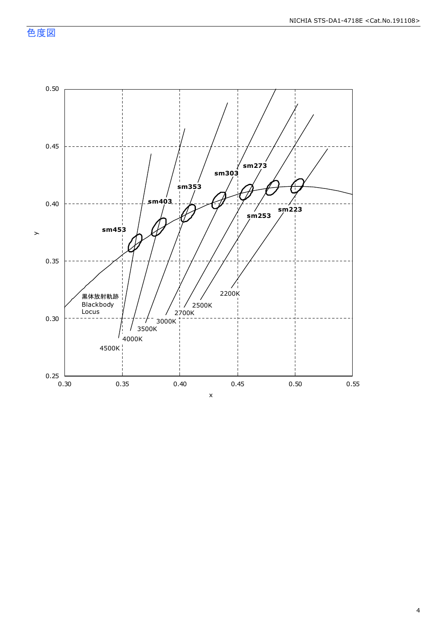色度図

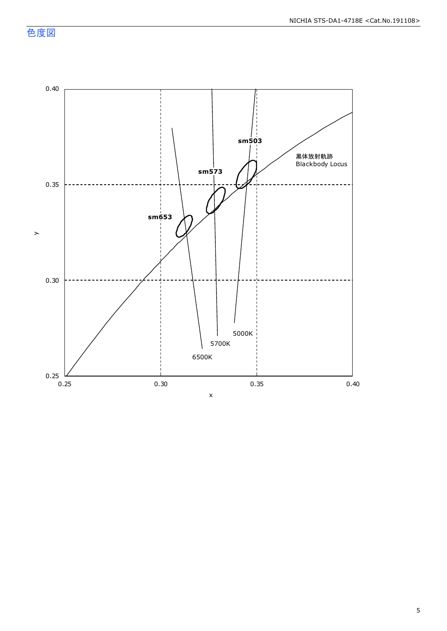色度図

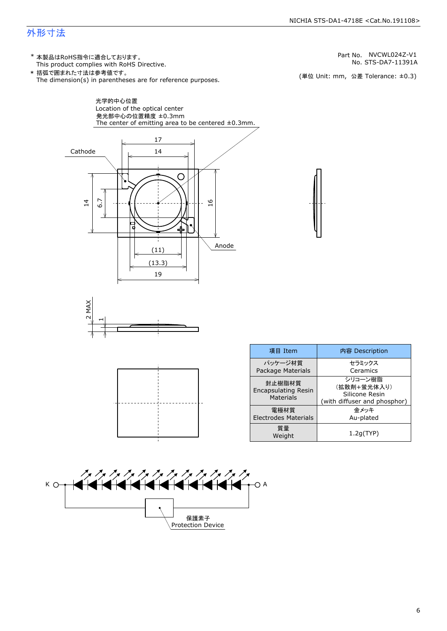## 外形寸法

(単位 Unit: mm) This product complies with RoHS Directive. \* 本製品はRoHS指令に適合しております。 (単位 Unit: mm, 公差 Tolerance: ±0.3) STS-DA7-11391A NVCWL024Z-V1 The dimension(s) in parentheses are for reference purposes. \* 括弧で囲まれた寸法は参考値です。 No. Part No.







| 項目 Item                                                  | 内容 Description                                                           |  |  |
|----------------------------------------------------------|--------------------------------------------------------------------------|--|--|
| パッケージ材質<br>Package Materials                             | セラミックス<br>Ceramics                                                       |  |  |
| 封止樹脂材質<br><b>Encapsulating Resin</b><br><b>Materials</b> | シリコーン樹脂<br>(拡散剤+蛍光体入り)<br>Silicone Resin<br>(with diffuser and phosphor) |  |  |
| 電極材質<br><b>Electrodes Materials</b>                      | 金メッキ<br>Au-plated                                                        |  |  |
| 質量<br>Weight                                             | 1.2q(TYP)                                                                |  |  |

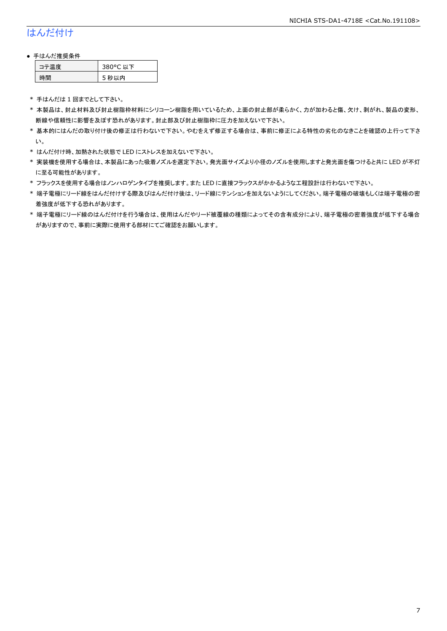## はんだ付け

#### ● 手はんだ推奨条件

| テ温度 | 380°C 以下 |
|-----|----------|
| .間  | 5 秒以内    |

\* 手はんだは 1 回までとして下さい。

- \* 本製品は、封止材料及び封止樹脂枠材料にシリコーン樹脂を用いているため、上面の封止部が柔らかく、力が加わると傷、欠け、剥がれ、製品の変形、 断線や信頼性に影響を及ぼす恐れがあります。封止部及び封止樹脂枠に圧力を加えないで下さい。
- \* 基本的にはんだの取り付け後の修正は行わないで下さい。やむをえず修正する場合は、事前に修正による特性の劣化のなきことを確認の上行って下さ い。
- \* はんだ付け時、加熱された状態で LED にストレスを加えないで下さい。
- \* 実装機を使用する場合は、本製品にあった吸着ノズルを選定下さい。発光面サイズより小径のノズルを使用しますと発光面を傷つけると共に LED が不灯 に至る可能性があります。
- \* フラックスを使用する場合はノンハロゲンタイプを推奨します。また LED に直接フラックスがかかるような工程設計は行わないで下さい。
- \* 端子電極にリード線をはんだ付けする際及びはんだ付け後は、リード線にテンションを加えないようにしてください。端子電極の破壊もしくは端子電極の密 着強度が低下する恐れがあります。
- \* 端子電極にリード線のはんだ付けを行う場合は、使用はんだやリード被覆線の種類によってその含有成分により、端子電極の密着強度が低下する場合 がありますので、事前に実際に使用する部材にてご確認をお願いします。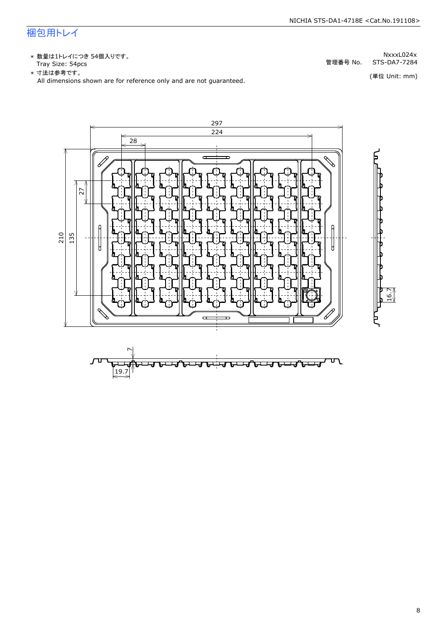## 梱包用トレイ

\* 数量は1トレイにつき 54個入りです。<br>Tray Size: 54pcs

\* 数量は1トレイにつき 54個入りです。<br>Tray Size: 54pcs<br>\* 寸法は参考です。<br>All dimensions shown are for reference only and are not guaranteed. \* づはは はいいい (単位 Unit: mm)<br>All dimensions shown are for reference only and are not guaranteed.



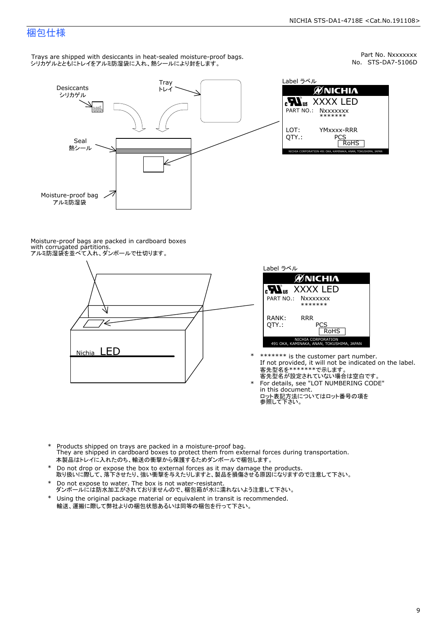## 梱包仕様

Trays are shipped with desiccants in heat-sealed moisture-proof bags. シリカゲルとともにトレイをアルミ防湿袋に入れ、熱シールにより封をします。



Part No. Nxxxxxxx<br>No. STS-DA7-5106D



Moisture-proof bags are packed in cardboard boxes with corrugated partitions. アルミ防湿袋を並べて入れ、ダンボールで仕切ります。





\* \*\*\*\*\*\*\* is the customer part number.<br>If not provided, it will not be indicated on the label.<br>客先型名が設定されていない場合は空白です。

For details, see "LOT NUMBERING CODE"<br>in this document.<br>ロット表記方法についてはロット番号の項を<br>参照して下さい。

- \* Products shipped on trays are packed in a moisture-proof bag.<br>They are shipped in cardboard boxes to protect them from external forces du<br>本製品はトレイに入れたのち、輸送の衝撃から保護するためダンボールで梱包します。<br>\* Do not drop or expose the box to exter Products shipped on trays are packed in a moisture-proof bag. They are shipped in cardboard boxes to protect them from external forces during transportation. 本製品はトレイに入れたのち、輸送の衝撃から保護するためダンボールで梱包します。
- Do not drop or expose the box to external forces as it may damage the products. \*
- 取り扱いに際して、落下させたり、強い衝撃を与えたりしますと、製品を損傷させる原因になりますので注意して下さい。 Do not expose to water. The box is not water-resistant. \*
- ダンボールには防水加工がされておりませんので、梱包箱が水に濡れないよう注意して下さい。 \*
- 輸送、運搬に際して弊社よりの梱包状態あるいは同等の梱包を行って下さい。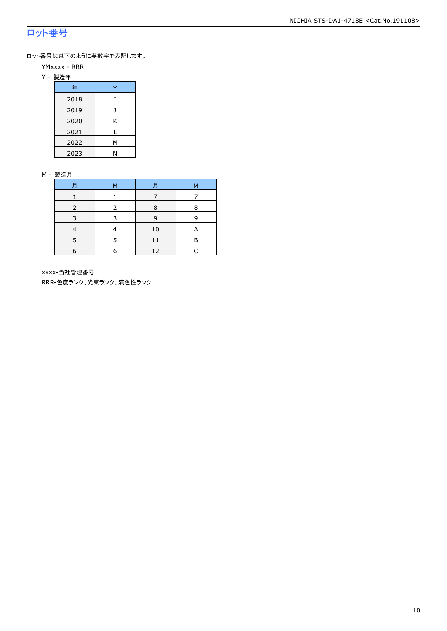## ロット番号

ロット番号は以下のように英数字で表記します。

- YMxxxx RRR
- Y 製造年

| 年    |   |
|------|---|
| 2018 | T |
| 2019 |   |
| 2020 | Κ |
| 2021 |   |
| 2022 | М |
| 2023 | Ν |

#### M - 製造月

| 月          | 月<br>M |    | М |
|------------|--------|----|---|
|            |        |    |   |
|            |        | 8  | ន |
| 3          | ₹      | 9  | q |
|            |        | 10 |   |
|            | 5      | 11 | R |
| $\epsilon$ | 6      | 12 |   |

xxxx-当社管理番号

RRR-色度ランク、光束ランク、演色性ランク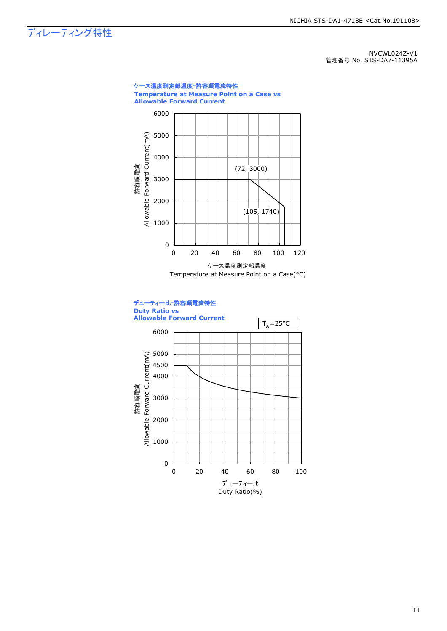ディレーティング特性

NVCWL024Z-V1 管理番号 No. STS-DA7-11395A



Duty Ratio(%)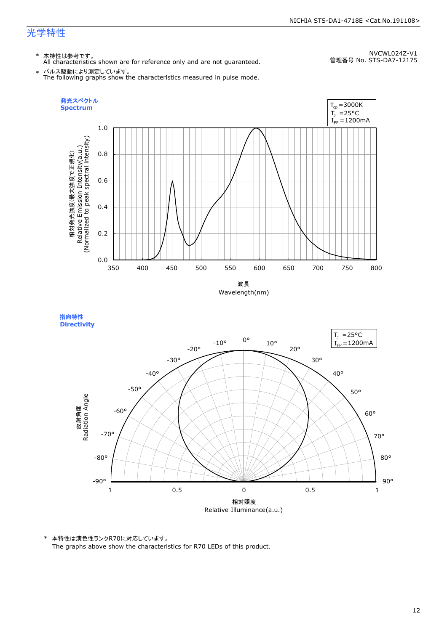\* 本特性は参考です。 All characteristics shown are for reference only and are not guaranteed.

NVCWL024Z-V1 管理番号 No. STS-DA7-12175

\* パルス駆動により測定しています。 The following graphs show the characteristics measured in pulse mode.





\* 本特性は演色性ランクR70に対応しています。

The graphs above show the characteristics for R70 LEDs of this product.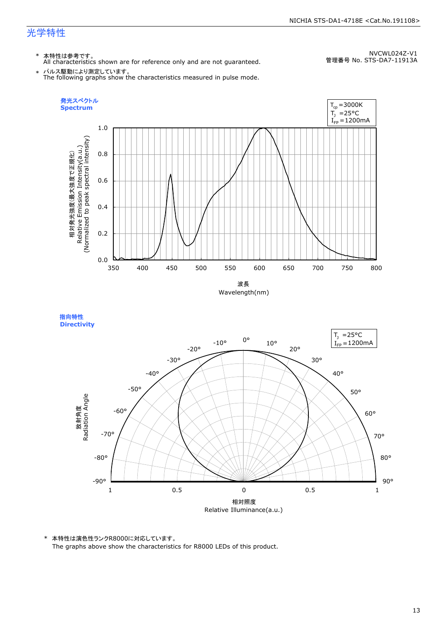\* 本特性は参考です。 All characteristics shown are for reference only and are not guaranteed.

NVCWL024Z-V1 管理番号 No. STS-DA7-11913A

\* パルス駆動により測定しています。 The following graphs show the characteristics measured in pulse mode.





\* 本特性は演色性ランクR8000に対応しています。 The graphs above show the characteristics for R8000 LEDs of this product.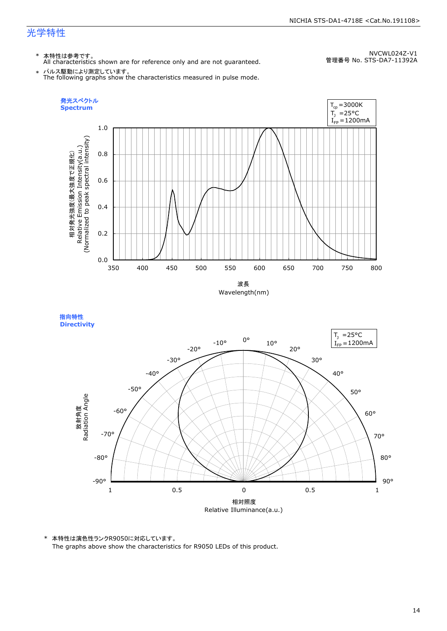\* 本特性は参考です。 All characteristics shown are for reference only and are not guaranteed.

NVCWL024Z-V1 管理番号 No. STS-DA7-11392A

\* パルス駆動により測定しています。 The following graphs show the characteristics measured in pulse mode.







\* 本特性は演色性ランクR9050に対応しています。 The graphs above show the characteristics for R9050 LEDs of this product.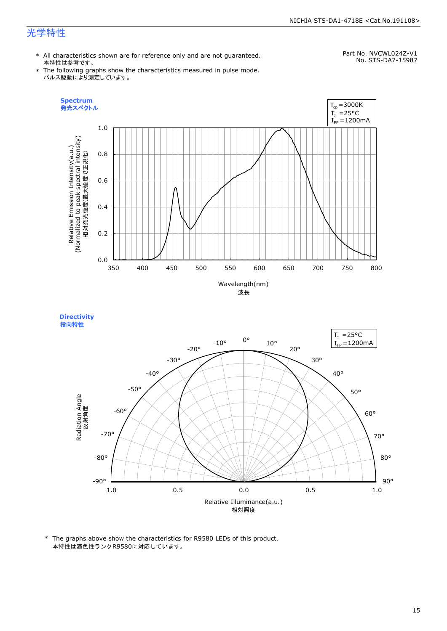#### NICHIA STS-DA1-4718E <Cat.No.191108>

## 光学特性

**Spectrum**

Relative Emission Intensity(a.u.)

\* All characteristics shown are for reference only and are not guaranteed. 本特性は参考です。

#### Part No. NVCWL024Z-V1 No. STS-DA7-15987

- \* The following graphs show the characteristics measured in pulse mode. パルス駆動により測定しています。
	- $T_{cp} = 3000K$ 発光スペクトル  $T_1$  = 25°C  $I_{FP} = 1200$ mA 1.0 Relative Emission Intensity(a.u.)<br>(Normalized to peak spectral intensity)<br>相対発光強度(最大強度で正規化) (Normalized to peak spectral intensity) 0.8 相対発光強度(最大強度で正規化) 0.6 0.4 0.2



350 400 450 500 550 600 650 700 750 800

**Directivity**  指向特性

0.0



\* The graphs above show the characteristics for R9580 LEDs of this product. 本特性は演色性ランクR9580に対応しています。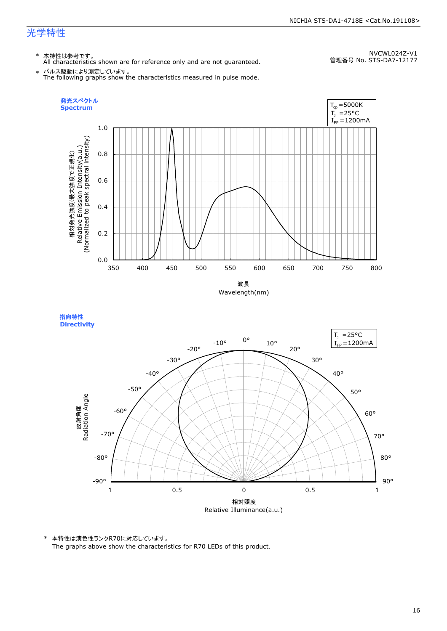\* 本特性は参考です。 All characteristics shown are for reference only and are not guaranteed.

NVCWL024Z-V1 管理番号 No. STS-DA7-12177

\* パルス駆動により測定しています。 The following graphs show the characteristics measured in pulse mode.



指向特性 **Directivity** 



\* 本特性は演色性ランクR70に対応しています。

The graphs above show the characteristics for R70 LEDs of this product.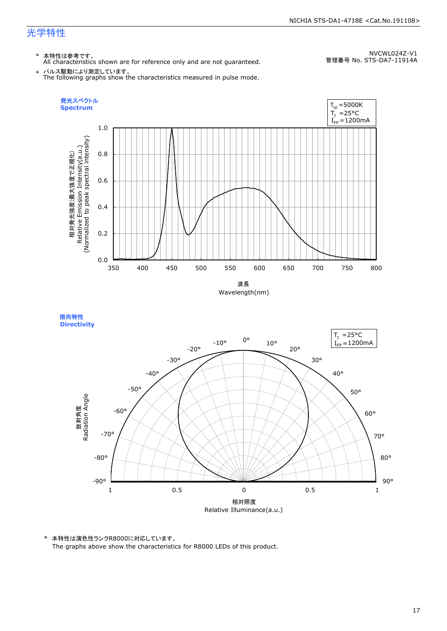\* 本特性は参考です。 All characteristics shown are for reference only and are not guaranteed.

NVCWL024Z-V1 管理番号 No. STS-DA7-11914A

\* パルス駆動により測定しています。 The following graphs show the characteristics measured in pulse mode.







\* 本特性は演色性ランクR8000に対応しています。 The graphs above show the characteristics for R8000 LEDs of this product.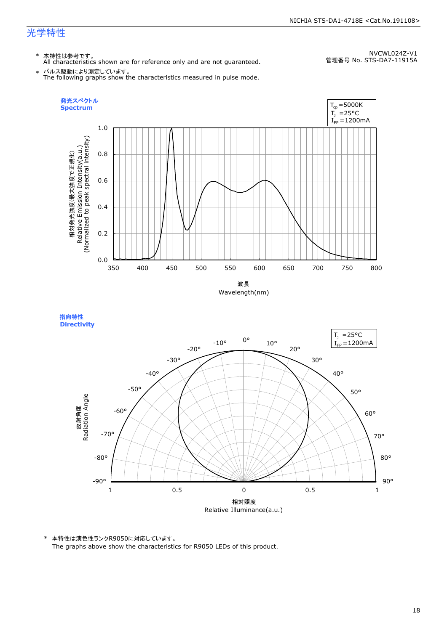\* 本特性は参考です。 All characteristics shown are for reference only and are not guaranteed.

NVCWL024Z-V1 管理番号 No. STS-DA7-11915A

\* パルス駆動により測定しています。 The following graphs show the characteristics measured in pulse mode.







\* 本特性は演色性ランクR9050に対応しています。 The graphs above show the characteristics for R9050 LEDs of this product.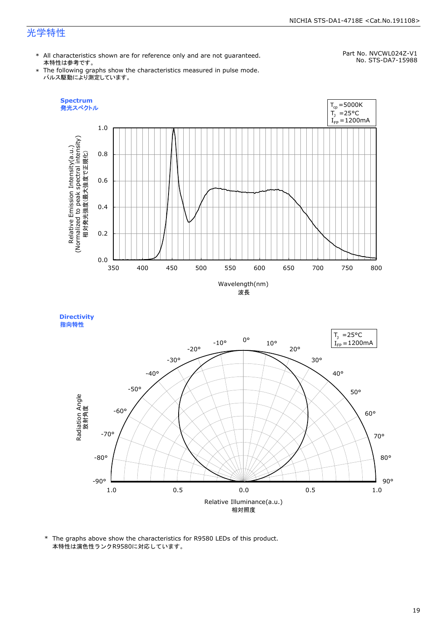#### NICHIA STS-DA1-4718E <Cat.No.191108>

## 光学特性

\* All characteristics shown are for reference only and are not guaranteed. 本特性は参考です。

Part No. NVCWL024Z-V1 No. STS-DA7-15988

\* The following graphs show the characteristics measured in pulse mode. パルス駆動により測定しています。



**Directivity**  指向特性



\* The graphs above show the characteristics for R9580 LEDs of this product. 本特性は演色性ランクR9580に対応しています。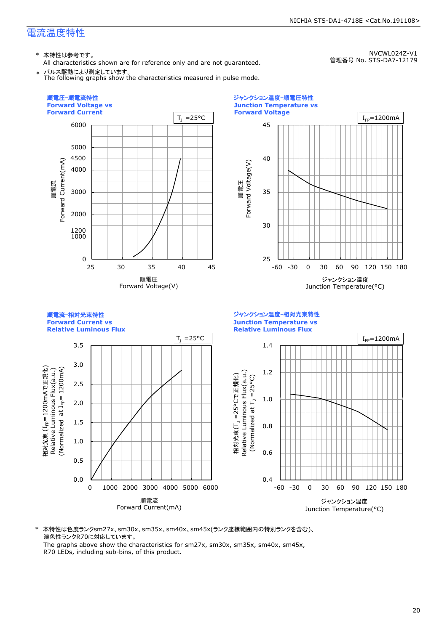\* 本特性は参考です。

All characteristics shown are for reference only and are not guaranteed. パルス駆動により測定しています。

NVCWL024Z-V1 管理番号 No. STS-DA7-12179



\* 本特性は色度ランクsm27x、sm30x、sm35x、sm40x、sm45x(ランク座標範囲内の特別ランクを含む)、 演色性ランクR70に対応しています。 The graphs above show the characteristics for sm27x, sm30x, sm35x, sm40x, sm45x,

R70 LEDs, including sub-bins, of this product.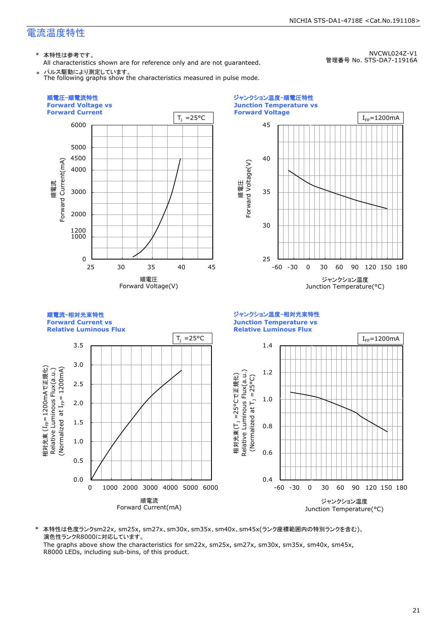\* 本特性は参考です。

All characteristics shown are for reference only and are not guaranteed. パルス駆動により測定しています。 The following graphs show the characteristics measured in pulse mode.

NVCWL024Z-V1 管理番号 No. STS-DA7-11916A



順電流 Forward Current(mA)



\* 本特性は色度ランクsm22x, sm25x, sm27x、sm30x、sm35x、sm40x、sm45x(ランク座標範囲内の特別ランクを含む)、 演色性ランクR8000に対応しています。

The graphs above show the characteristics for sm22x, sm25x, sm27x, sm30x, sm35x, sm40x, sm45x, R8000 LEDs, including sub-bins, of this product.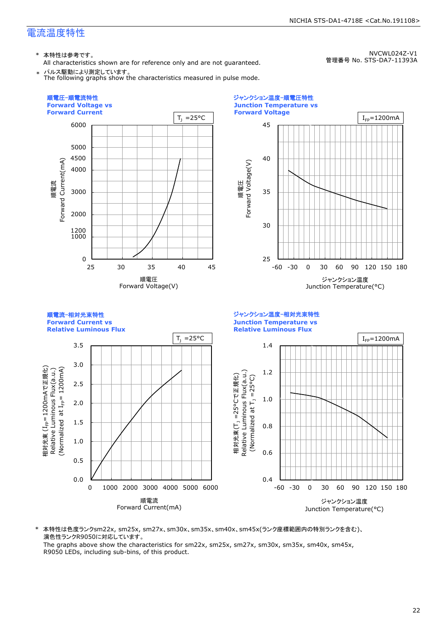\* 本特性は参考です。

All characteristics shown are for reference only and are not guaranteed. パルス駆動により測定しています。

The following graphs show the characteristics measured in pulse mode.

NVCWL024Z-V1 管理番号 No. STS-DA7-11393A



\* 本特性は色度ランクsm22x, sm25x, sm27x、sm30x、sm35x、sm40x、sm45x(ランク座標範囲内の特別ランクを含む)、 演色性ランクR9050に対応しています。

The graphs above show the characteristics for sm22x, sm25x, sm27x, sm30x, sm35x, sm40x, sm45x, R9050 LEDs, including sub-bins, of this product.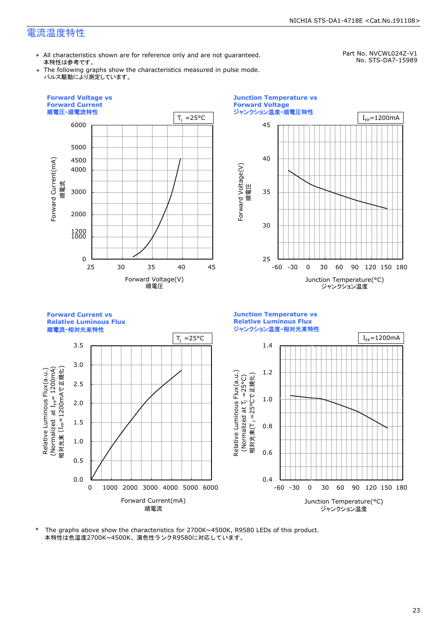\* All characteristics shown are for reference only and are not guaranteed. 本特性は参考です。

Part No. NVCWL024Z-V1 No. STS-DA7-15989

\* The following graphs show the characteristics measured in pulse mode. パルス駆動により測定しています。



本特性は色温度2700K~4500K、演色性ランクR9580に対応しています。 \* The graphs above show the characteristics for 2700K~4500K, R9580 LEDs of this product.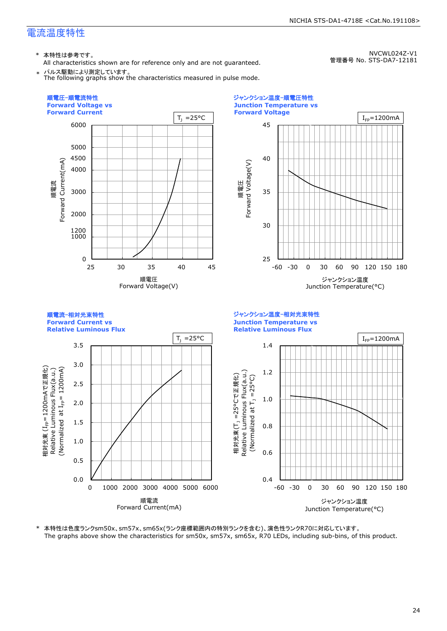NVCWL024Z-V1

管理番号 No. STS-DA7-12181

\* 本特性は参考です。

All characteristics shown are for reference only and are not guaranteed. \* パルス駆動により測定しています。

The following graphs show the characteristics measured in pulse mode.

25 30 35 40 45 -60 -30 0 30 60 90 120 150 180 0.4 0.6 0.8 1.0 1.2 1.4 -60 -30 0 30 60 90 120 150 180 0 1000 2000 3000 4000 5000 6000 25 30 35 40 45 1200 4500 ジャンクション温度-相対光束特性 **Junction Temperature vs Relative Luminous Flux** 順電流<br>Forward Current(mA) Forward Current(mA) 0.0 0.5 1.0 1.5 2.0 2.5 3.0 3.5 0 1000 2000 3000 4000 5000 6000 順電流-相対光束特性 **Forward Current vs Relative Luminous Flux** 順電流 Forward Current(mA) 順電圧-順電流特性 **Forward Voltage vs Forward Current** ジャンクション温度-順電圧特性 **Junction Temperature vs Forward Voltage** 順電圧 Forward Voltage(V) 順電圧<br>Forward Voltage(V) Forward Voltage(V) ジャンクション温度 Junction Temperature(°C) ジャンクション温度  $T_1 = 25^{\circ}C$  $T_1 = 25^{\circ}C$  |  $I_{\text{FP}} = 1200 \text{mA}$  $I_{FD}$ =1200mA 相対光束(T<sub>,</sub>=25°Cで正規化) Relative Luminous Flux(a.u.) (Normalized at  $T_1$  =25°C) — Relative Luminous Flux(a.u.) 相対光束<br>Dalativ. (Normalized 1200mA) 1200mAで正規化) (I<sub>FP</sub>=1200m<br>Luminous<br>ized at I<sub>FP</sub>=

\* 本特性は色度ランクsm50x、sm57x、sm65x(ランク座標範囲内の特別ランクを含む)、演色性ランクR70に対応しています。 The graphs above show the characteristics for sm50x, sm57x, sm65x, R70 LEDs, including sub-bins, of this product.

Junction Temperature(°C)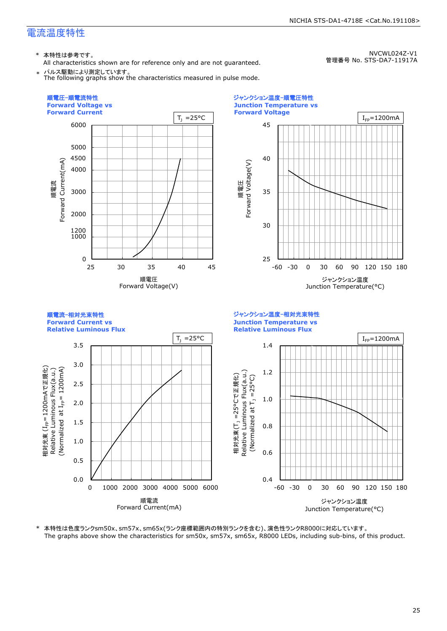\* 本特性は参考です。

All characteristics shown are for reference only and are not guaranteed. \* パルス駆動により測定しています。

The following graphs show the characteristics measured in pulse mode.

NVCWL024Z-V1 管理番号 No. STS-DA7-11917A



\* 本特性は色度ランクsm50x、sm57x、sm65x(ランク座標範囲内の特別ランクを含む)、演色性ランクR8000に対応しています。 The graphs above show the characteristics for sm50x, sm57x, sm65x, R8000 LEDs, including sub-bins, of this product.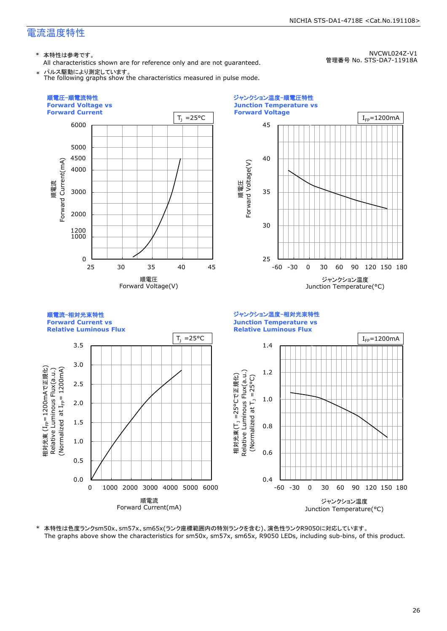\* 本特性は参考です。

All characteristics shown are for reference only and are not guaranteed. \* パルス駆動により測定しています。

The following graphs show the characteristics measured in pulse mode.

NVCWL024Z-V1 管理番号 No. STS-DA7-11918A



\* 本特性は色度ランクsm50x、sm57x、sm65x(ランク座標範囲内の特別ランクを含む)、演色性ランクR9050に対応しています。 The graphs above show the characteristics for sm50x, sm57x, sm65x, R9050 LEDs, including sub-bins, of this product.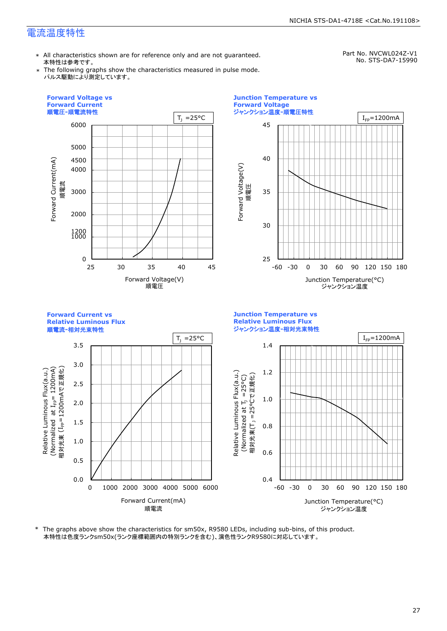\* All characteristics shown are for reference only and are not guaranteed. 本特性は参考です。

Part No. NVCWL024Z-V1 No. STS-DA7-15990

\* The following graphs show the characteristics measured in pulse mode. パルス駆動により測定しています。



\* The graphs above show the characteristics for sm50x, R9580 LEDs, including sub-bins, of this product. 本特性は色度ランクsm50x(ランク座標範囲内の特別ランクを含む)、演色性ランクR9580に対応しています。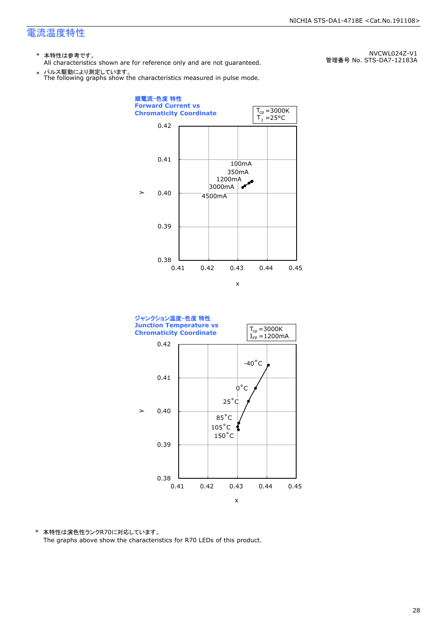- \* 本特性は参考です。
- All characteristics shown are for reference only and are not guaranteed.

\* パルス駆動により測定しています。 The following graphs show the characteristics measured in pulse mode.

順電流-色度 特性 **Forward Current vs**   $T_{cp} = 3000K$ **Chromaticity Coordinate**   $\mathsf{T}_\mathtt{j}$  =25°C 0.42 0.41 100mA 350mA 1200mA 3000mA é.  $\geq$ 0.40 4500mA 0.39 0.38 0.41 0.42 0.43 0.44 0.45 x



\* 本特性は演色性ランクR70に対応しています。 The graphs above show the characteristics for R70 LEDs of this product.

NVCWL024Z-V1 管理番号 No. STS-DA7-12183A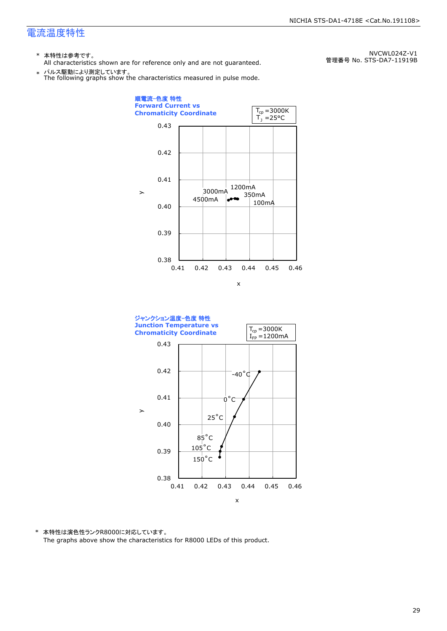- \* 本特性は参考です。
- All characteristics shown are for reference only and are not guaranteed.

\* パルス駆動により測定しています。 The following graphs show the characteristics measured in pulse mode.

0.38 0.39 0.40 0.41 0.42 0.43 0.41 0.42 0.43 0.44 0.45 0.46 100mA 1200mA 4500mA 3000mA<br>350mA 順電流-色度 特性 **Forward Current vs Chromaticity Coordinate**   $\geq$ x  $\mathsf{T}_\textnormal{j}$  =25°C  $T_{cp} = 3000K$ 



\* 本特性は演色性ランクR8000に対応しています。 The graphs above show the characteristics for R8000 LEDs of this product.

NVCWL024Z-V1 管理番号 No. STS-DA7-11919B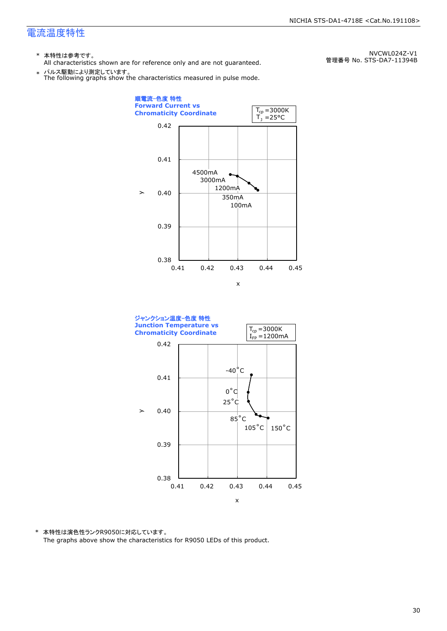- \* 本特性は参考です。
- All characteristics shown are for reference only and are not guaranteed.

\* パルス駆動により測定しています。 The following graphs show the characteristics measured in pulse mode.

NVCWL024Z-V1 管理番号 No. STS-DA7-11394B





\* 本特性は演色性ランクR9050に対応しています。 The graphs above show the characteristics for R9050 LEDs of this product.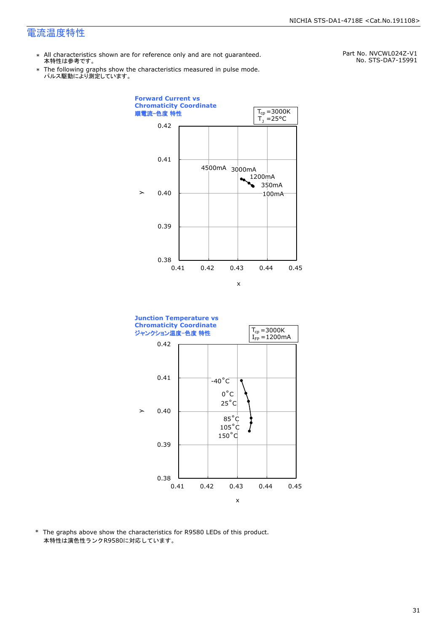- \* All characteristics shown are for reference only and are not guaranteed. 本特性は参考です。
- \* Ine following graphs show tr<br>パルス駆動により測定しています。 The following graphs show the characteristics measured in pulse mode.

Part No. NVCWL024Z-V1 No. STS-DA7-15991





\* The graphs above show the characteristics for R9580 LEDs of this product. 本特性は演色性ランクR9580に対応しています。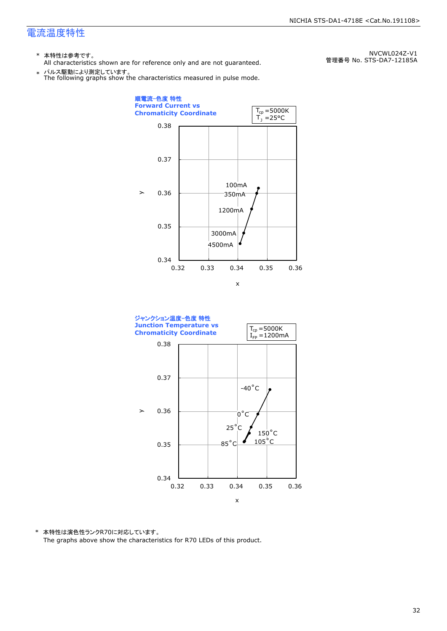- \* 本特性は参考です。
- All characteristics shown are for reference only and are not guaranteed.

\* パルス駆動により測定しています。 The following graphs show the characteristics measured in pulse mode.

0.34 0.35 0.36 0.37 0.38 0.32 0.33 0.34 0.35 0.36 100mA 350mA 1200mA 3000mA 4500mA 順電流-色度 特性 **Forward Current vs Chromaticity Coordinate**   $\geq$ x  $\mathsf{T}_\textnormal{j}$  =25°C  $T_{cp} = 5000K$ 



\* 本特性は演色性ランクR70に対応しています。 The graphs above show the characteristics for R70 LEDs of this product.

NVCWL024Z-V1 管理番号 No. STS-DA7-12185A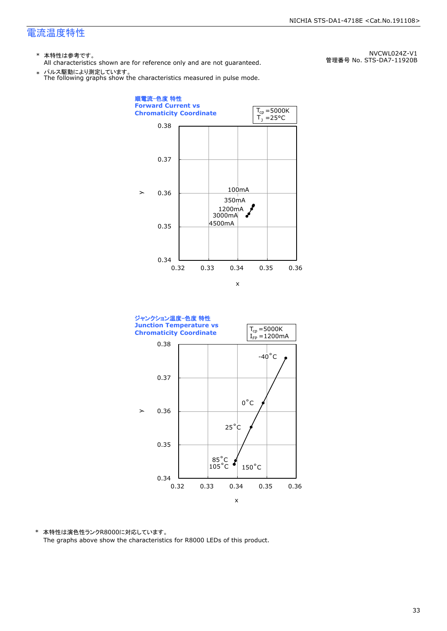- \* 本特性は参考です。
- All characteristics shown are for reference only and are not guaranteed.

\* パルス駆動により測定しています。 The following graphs show the characteristics measured in pulse mode.

0.34 0.35 0.36 0.37 0.38 0.32 0.33 0.34 0.35 0.36 100mA 1200mA 4500mA 350mA 3000mA 順電流-色度 特性 **Forward Current vs Chromaticity Coordinate**   $\geq$ x  $\mathsf{T}_\mathtt{j}$  =25°C  $T_{cp} = 5000K$ 



\* 本特性は演色性ランクR8000に対応しています。 The graphs above show the characteristics for R8000 LEDs of this product.

NVCWL024Z-V1 管理番号 No. STS-DA7-11920B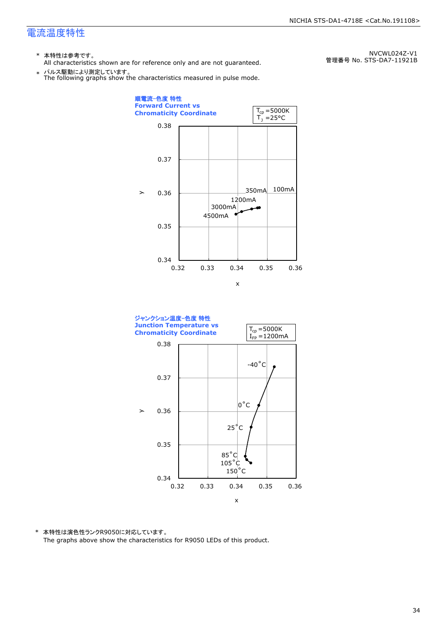- \* 本特性は参考です。
- All characteristics shown are for reference only and are not guaranteed.

\* パルス駆動により測定しています。 The following graphs show the characteristics measured in pulse mode.

0.34 0.35 0.36 0.37 0.38 0.32 0.33 0.34 0.35 0.36 350mA 100mA 1200mA 3000mA 4500mA 順電流-色度 特性 **Forward Current vs Chromaticity Coordinate**   $\geq$ x  $\mathsf{T}_\mathtt{j}$  =25°C  $T_{cp} = 5000K$ 



\* 本特性は演色性ランクR9050に対応しています。 The graphs above show the characteristics for R9050 LEDs of this product.

NVCWL024Z-V1 管理番号 No. STS-DA7-11921B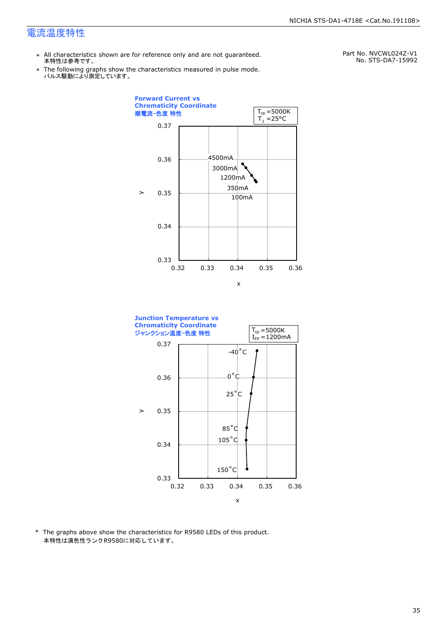- \* All characteristics shown are for reference only and are not guaranteed. 本特性は参考です。
- \* Ine following graphs show tr<br>パルス駆動により測定しています。 The following graphs show the characteristics measured in pulse mode.

Part No. NVCWL024Z-V1 No. STS-DA7-15992





\* The graphs above show the characteristics for R9580 LEDs of this product. 本特性は演色性ランクR9580に対応しています。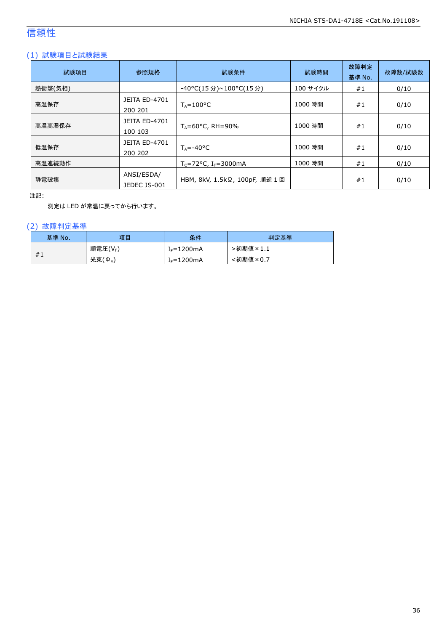## 信頼性

#### (1) 試験項目と試験結果

| 試験項目    | 参照規格                            | 試験条件                           | 試験時間     | 故障判定<br>基準 No. | 故障数/試験数 |
|---------|---------------------------------|--------------------------------|----------|----------------|---------|
| 熱衝撃(気相) |                                 | -40°C(15 分)~100°C(15 分)        | 100 サイクル | #1             | 0/10    |
| 高温保存    | <b>JEITA ED-4701</b><br>200 201 | $T_A = 100^{\circ}C$           | 1000 時間  | #1             | 0/10    |
| 高温高湿保存  | <b>JEITA ED-4701</b><br>100 103 | $T_A = 60^{\circ}$ C, RH = 90% | 1000 時間  | #1             | 0/10    |
| 低温保存    | <b>JEITA ED-4701</b><br>200 202 | $T_{\text{A}} = -40^{\circ}C$  | 1000 時間  | #1             | 0/10    |
| 高温連続動作  |                                 | $T_c = 72$ °C, $I_F = 3000$ mA | 1000 時間  | #1             | 0/10    |
| 静電破壊    | ANSI/ESDA/<br>JEDEC JS-001      | HBM, 8kV, 1.5kΩ, 100pF, 順逆 1回  |          | #1             | 0/10    |

注記:

測定は LED が常温に戻ってから行います。

#### (2) 故障判定基準

| 基準 No. | 項目                    | 条件              | 判定基準                                        |
|--------|-----------------------|-----------------|---------------------------------------------|
|        | 順電圧(VF)               | $I_F = 1200$ mA | >初期値<br>$\overline{\mathcal{F}} \times 1.1$ |
| #1     | 光束(<br>$\phi_{\rm v}$ | $f_F = 1200$ mA | <初期値×0.7                                    |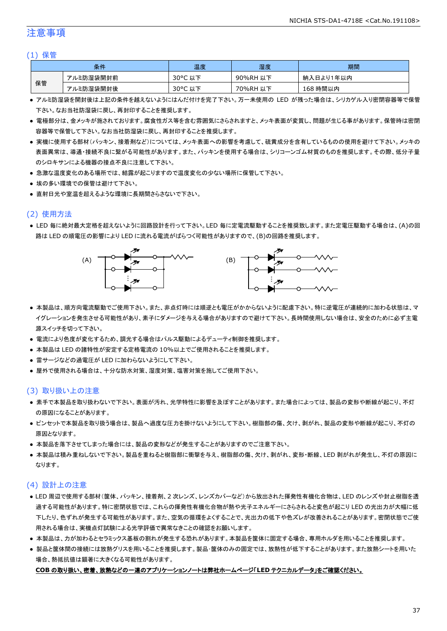#### 注意事項

#### (1) 保管

| 条件 |           | 温度                    | 湿度       | 期間        |
|----|-----------|-----------------------|----------|-----------|
| 保管 | アルミ防湿袋開封前 | $30^{\circ}$ C<br>,以下 | 90%RH 以下 | 納入日より1年以内 |
|    | アルミ防湿袋開封後 | 30°C 以下               | 70%RH 以下 | 168 時間以内  |

- アルミ防湿袋を開封後は上記の条件を越えないようにはんだ付けを完了下さい。万一未使用の LED が残った場合は、シリカゲル入り密閉容器等で保管 下さい。なお当社防湿袋に戻し、再封印することを推奨します。
- 電極部分は、金メッキが施されております。腐食性ガス等を含む雰囲気にさらされますと、メッキ表面が変質し、問題が生じる事があります。保管時は密閉 容器等で保管して下さい。なお当社防湿袋に戻し、再封印することを推奨します。
- 実機に使用する部材(パッキン、接着剤など)については、メッキ表面への影響を考慮して、硫黄成分を含有しているものの使用を避けて下さい。メッキの 表面異常は、導通・接続不良に繋がる可能性があります。また、パッキンを使用する場合は、シリコーンゴム材質のものを推奨します。その際、低分子量 のシロキサンによる機器の接点不良に注意して下さい。
- 急激な温度変化のある場所では、結露が起こりますので温度変化の少ない場所に保管して下さい。
- 埃の多い環境での保管は避けて下さい。
- 直射日光や室温を超えるような環境に長期間さらさないで下さい。

#### (2) 使用方法

● LED 毎に絶対最大定格を超えないように回路設計を行って下さい。LED 毎に定電流駆動することを推奨致します。また定電圧駆動する場合は、(A)の回 路は LED の順電圧の影響により LED に流れる電流がばらつく可能性がありますので、(B)の回路を推奨します。



- 本製品は、順方向電流駆動でご使用下さい。また、非点灯時には順逆とも電圧がかからないように配慮下さい。特に逆電圧が連続的に加わる状態は、マ イグレーションを発生させる可能性があり、素子にダメージを与える場合がありますので避けて下さい。長時間使用しない場合は、安全のために必ず主電 源スイッチを切って下さい。
- 電流により色度が変化するため、調光する場合はパルス駆動によるデューティ制御を推奨します。
- 本製品は LED の諸特性が安定する定格電流の 10%以上でご使用されることを推奨します。
- 雷サージなどの過電圧が LED に加わらないようにして下さい。
- 屋外で使用される場合は、十分な防水対策、湿度対策、塩害対策を施してご使用下さい。

#### (3) 取り扱い上の注意

- 素手で本製品を取り扱わないで下さい。表面が汚れ、光学特性に影響を及ぼすことがあります。また場合によっては、製品の変形や断線が起こり、不灯 の原因になることがあります。
- ピンセットで本製品を取り扱う場合は、製品へ過度な圧力を掛けないようにして下さい。樹脂部の傷、欠け、剥がれ、製品の変形や断線が起こり、不灯の 原因となります。
- 本製品を落下させてしまった場合には、製品の変形などが発生することがありますのでご注意下さい。
- 本製品は積み重ねしないで下さい。製品を重ねると樹脂部に衝撃を与え、樹脂部の傷、欠け、剥がれ、変形・断線、LED 剥がれが発生し、不灯の原因に なります。

#### (4) 設計上の注意

- LED 周辺で使用する部材(筐体、パッキン、接着剤、2 次レンズ、レンズカバーなど)から放出された揮発性有機化合物は、LED のレンズや封止樹脂を透 過する可能性があります。特に密閉状態では、これらの揮発性有機化合物が熱や光子エネルギーにさらされると変色が起こり LED の光出力が大幅に低 下したり、色ずれが発生する可能性があります。また、空気の循環をよくすることで、光出力の低下や色ズレが改善されることがあります。密閉状態でご使 用される場合は、実機点灯試験による光学評価で異常なきことの確認をお願いします。
- 本製品は、力が加わるとセラミックス基板の割れが発生する恐れがあります。本製品を筐体に固定する場合、専用ホルダを用いることを推奨します。
- 製品と筐体間の接続には放熱グリスを用いることを推奨します。製品・筐体のみの固定では、放熱性が低下することがあります。また放熱シートを用いた 場合、熱抵抗値は顕著に大きくなる可能性があります。

#### **COB** の取り扱い、密着、放熱などの一連のアプリケーションノートは弊社ホームページ「**LED** テクニカルデータ」をご確認ください。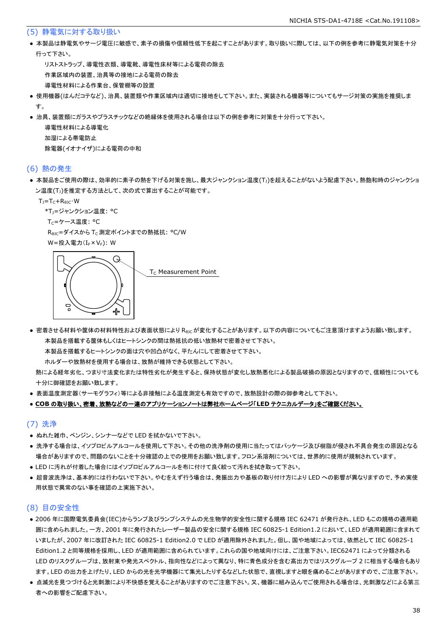#### (5) 静電気に対する取り扱い

● 本製品は静電気やサージ電圧に敏感で、素子の損傷や信頼性低下を起こすことがあります。取り扱いに際しては、以下の例を参考に静電気対策を十分 行って下さい。

 リストストラップ、導電性衣類、導電靴、導電性床材等による電荷の除去 作業区域内の装置、治具等の接地による電荷の除去 導電性材料による作業台、保管棚等の設置

- 使用機器(はんだコテなど)、治具、装置類や作業区域内は適切に接地をして下さい。また、実装される機器等についてもサージ対策の実施を推奨しま す。
- 治具、装置類にガラスやプラスチックなどの絶縁体を使用される場合は以下の例を参考に対策を十分行って下さい。

 導電性材料による導電化 加湿による帯電防止 除電器(イオナイザ)による電荷の中和

#### (6) 熱の発生

● 本製品をご使用の際は、効率的に素子の熱を下げる対策を施し、最大ジャンクション温度(T」)を超えることがないよう配慮下さい。熱飽和時のジャンクショ ン温度(T<sub>J</sub>)を推定する方法として、次の式で算出することが可能です。

 $T_J = T_C + R_{\theta JC} \cdot W$ 

```
*T<sub>1</sub>=ジャンクション温度: °C
```
T<sub>C</sub>=ケース温度: °C

R<sub>0JC</sub>=ダイスから T<sub>C</sub> 測定ポイントまでの熱抵抗: °C/W

W=投入電力(I<sub>F</sub>×V<sub>F</sub>): W



● 密着させる材料や筐体の材料特性および表面状態により R<sub>θIC</sub>が変化することがあります。以下の内容についてもご注意頂けますようお願い致します。 本製品を搭載する筐体もしくはヒートシンクの間は熱抵抗の低い放熱材で密着させて下さい。

本製品を搭載するヒートシンクの面は穴や凹凸がなく、平たんにして密着させて下さい。

ホルダーや放熱材を使用する場合は、放熱が維持できる状態として下さい。

 熱による経年劣化、つまり寸法変化または特性劣化が発生すると、保持状態が変化し放熱悪化による製品破損の原因となりますので、信頼性についても 十分に御確認をお願い致します。

● 表面温度測定器(サーモグラフィ)等による非接触による温度測定も有効ですので、放熱設計の際の御参考として下さい。

#### ● **COB** の取り扱い、密着、放熱などの一連のアプリケーションノートは弊社ホームページ「**LED** テクニカルデータ」をご確認ください。

#### (7) 洗浄

- ぬれた雑巾、ベンジン、シンナーなどで LED を拭かないで下さい。
- 洗浄する場合は、イソプロピルアルコールを使用して下さい。その他の洗浄剤の使用に当たってはパッケージ及び樹脂が侵され不具合発生の原因となる 場合がありますので、問題のないことを十分確認の上での使用をお願い致します。フロン系溶剤については、世界的に使用が規制されています。
- LED に汚れが付着した場合にはイソプロピルアルコールを布に付けて良く絞って汚れを拭き取って下さい。
- 超音波洗浄は、基本的には行わないで下さい。やむをえず行う場合は、発振出力や基板の取り付け方により LED への影響が異なりますので、予め実使 用状態で異常のない事を確認の上実施下さい。

#### (8) 目の安全性

- 2006 年に国際電気委員会(IEC)からランプ及びランプシステムの光生物学的安全性に関する規格 IEC 62471 が発行され、LED もこの規格の適用範 囲に含められました。一方、2001 年に発行されたレーザー製品の安全に関する規格 IEC 60825-1 Edition1.2 において、LED が適用範囲に含まれて いましたが、2007 年に改訂された IEC 60825-1 Edition2.0 で LED が適用除外されました。但し、国や地域によっては、依然として IEC 60825-1 Edition1.2 と同等規格を採用し、LED が適用範囲に含められています。これらの国や地域向けには、ご注意下さい。IEC62471 によって分類される LED のリスクグループは、放射束や発光スペクトル、指向性などによって異なり、特に青色成分を含む高出力ではリスクグループ 2 に相当する場合もあり ます。LED の出力を上げたり、LED からの光を光学機器にて集光したりするなどした状態で、直視しますと眼を痛めることがありますので、ご注意下さい。
- 点滅光を見つづけると光刺激により不快感を覚えることがありますのでご注意下さい。又、機器に組み込んでご使用される場合は、光刺激などによる第三 者への影響をご配慮下さい。